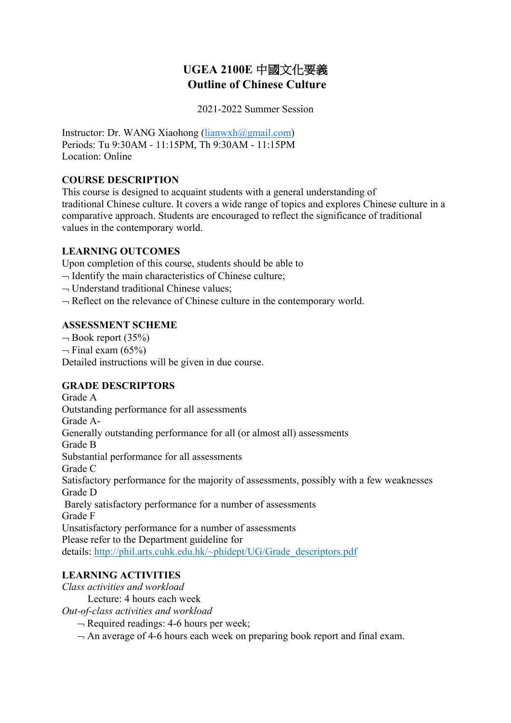# **UGEA 2100E** 中國文化要義 **Outline of Chinese Culture**

2021-2022 Summer Session

Instructor: Dr. WANG Xiaohong (lianwxh@gmail.com) Periods: Tu 9:30AM - 11:15PM, Th 9:30AM - 11:15PM Location: Online

### **COURSE DESCRIPTION**

This course is designed to acquaint students with a general understanding of traditional Chinese culture. It covers a wide range of topics and explores Chinese culture in a comparative approach. Students are encouraged to reflect the significance of traditional values in the contemporary world.

## **LEARNING OUTCOMES**

Upon completion of this course, students should be able to

- $\neg$  Identify the main characteristics of Chinese culture;
- $\neg$  Understand traditional Chinese values;
- $\neg$  Reflect on the relevance of Chinese culture in the contemporary world.

### **ASSESSMENT SCHEME**

 $\neg$  Book report (35%)  $\neg$  Final exam (65%) Detailed instructions will be given in due course.

## **GRADE DESCRIPTORS**

Grade A Outstanding performance for all assessments Grade A-Generally outstanding performance for all (or almost all) assessments Grade B Substantial performance for all assessments Grade C Satisfactory performance for the majority of assessments, possibly with a few weaknesses Grade D Barely satisfactory performance for a number of assessments Grade F Unsatisfactory performance for a number of assessments Please refer to the Department guideline for details: http://phil.arts.cuhk.edu.hk/~phidept/UG/Grade\_descriptors.pdf

## **LEARNING ACTIVITIES**

*Class activities and workload*

Lecture: 4 hours each week

*Out-of-class activities and workload*

 $\neg$  Required readings: 4-6 hours per week;

 $\rightarrow$  An average of 4-6 hours each week on preparing book report and final exam.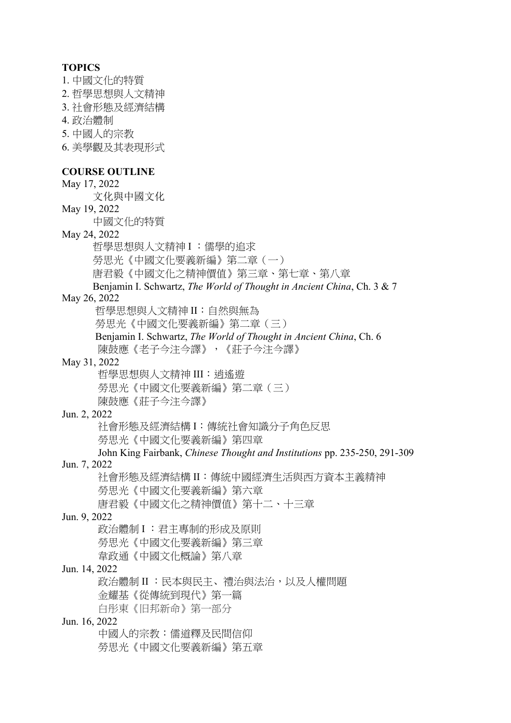#### **TOPICS**

- 1. 中國文化的特質
- 2. 哲學思想與人文精神
- 3. 社會形態及經濟結構
- 4. 政治體制
- 5. 中國人的宗教
- 6. 美學觀及其表現形式

#### **COURSE OUTLINE**

May 17, 2022 文化與中國文化 May 19, 2022 中國文化的特質 May 24, 2022 哲學思想與人文精神 I :儒學的追求 勞思光《中國文化要義新編》第二章(一) 唐君毅《中國文化之精神價值》第三章、第七章、第八章 Benjamin I. Schwartz, *The World of Thought in Ancient China*, Ch. 3 & 7 May 26, 2022 哲學思想與人文精神 II:自然與無為 勞思光《中國文化要義新編》第二章(三) Benjamin I. Schwartz, *The World of Thought in Ancient China*, Ch. 6 陳鼓應《老子今注今譯》,《莊子今注今譯》 May 31, 2022 哲學思想與人文精神 III:逍遙遊 勞思光《中國文化要義新編》第二章(三) 陳鼓應《莊子今注今譯》 Jun. 2, 2022 社會形態及經濟結構 I:傳統社會知識分子角色反思 勞思光《中國文化要義新編》第四章 John King Fairbank, *Chinese Thought and Institutions* pp. 235-250, 291-309 Jun. 7, 2022 社會形態及經濟結構 II:傳統中國經濟生活與西方資本主義精神 勞思光《中國文化要義新編》第六章 唐君毅《中國文化之精神價值》第十二、十三章 Jun. 9, 2022 政治體制 I :君主專制的形成及原則 勞思光《中國文化要義新編》第三章 韋政通《中國文化概論》第八章 Jun. 14, 2022 政治體制 II : 民本與民主、禮治與法治, 以及人權問題 金耀基《從傳統到現代》第一篇 白彤東《旧邦新命》第一部分 Jun. 16, 2022 中國人的宗教:儒道釋及民間信仰 勞思光《中國文化要義新編》第五章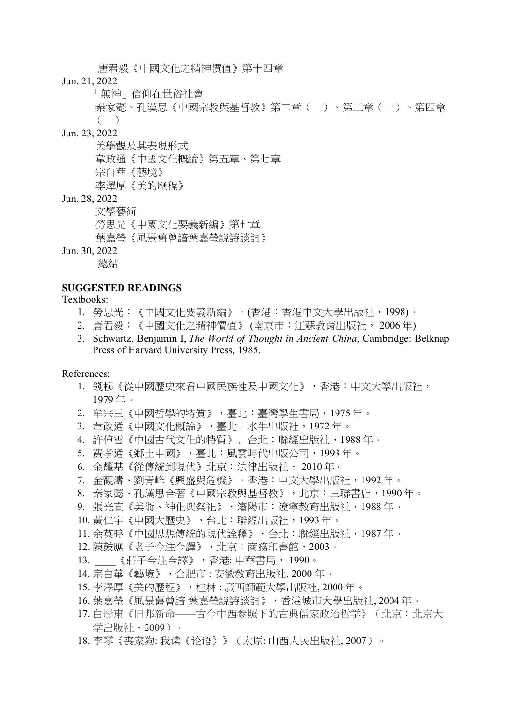唐君毅《中國文化之精神價值》第十四章

Jun. 21, 2022

「無神」信仰在世俗社會

秦家懿、孔漢思《中國宗教與基督教》第二章(一)、第三章(一)、第四章  $(-)$ 

### Jun. 23, 2022

美學觀及其表現形式 韋政通《中國文化概論》第五章、第七章 宗白華《藝境》 李澤厚《美的歷程》

Jun. 28, 2022

文學藝術

勞思光《中國文化要義新編》第七章

葉嘉瑩《風景舊曾諳葉嘉瑩説詩談詞》

Jun. 30, 2022

總結

### **SUGGESTED READINGS**

#### Textbooks:

- 1. 勞思光:《中國文化要義新編》,(香港:香港中文大學出版社,1998)。
- 2. 唐君毅:《中國文化之精神價值》 (南京市:江蘇教育出版社, 2006 年)
- 3. Schwartz, Benjamin I, *The World of Thought in Ancient China*, Cambridge: Belknap Press of Harvard University Press, 1985.

References:

- 1. 錢穆《從中國歷史來看中國民族性及中國文化》,香港:中文大學出版社, 1979 年。
- 2. 牟宗三《中國哲學的特質》,臺北:臺灣學生書局,1975 年。
- 3. 韋政通《中國文化概論》,臺北:水牛出版社,1972 年。
- 4. 許倬雲《中國古代文化的特質》﹐台北:聯經出版社,1988 年。
- 5. 費孝通《鄉土中國》,臺北:風雲時代出版公司,1993 年。
- 6. 金耀基《從傳統到現代》北京:法律出版社, 2010 年。
- 7. 金觀濤、劉青峰《興盛與危機》,香港:中文大學出版社,1992 年。
- 8. 秦家懿、孔漢思合著《中國宗教與基督教》,北京:三聯書店,1990 年。
- 9. 張光直《美術、神化與祭祀》,瀋陽市:遼寧教育出版社,1988年。
- 10. 黃仁宇《中國大歷史》,台北:聯經出版社,1993 年。
- 11. 余英時《中國思想傳統的現代詮釋》,台北:聯經出版社,1987 年。
- 12. 陳鼓應《老子今注今譯》,北京:商務印書館, 2003。
- 13. \_\_\_\_《莊子今注今譯》,香港: 中華書局, 1990。
- 14. 宗白華《藝境》,合肥市 : 安徽敎育出版社, 2000 年。
- 15. 李澤厚《美的歷程》,桂林 : 廣西師範大學出版社, 2000 年。
- 16. 葉嘉瑩《風景舊曾諳 葉嘉瑩説詩談詞》, 香港城市大學出版社, 2004 年。
- 17. 白彤東《旧邦新命——古今中西参照下的古典儒家政治哲学》(北京:北京大 学出版社, 2009)。
- 18. 李零《丧家狗: 我读《论语》》(太原: 山西人民出版社, 2007)。